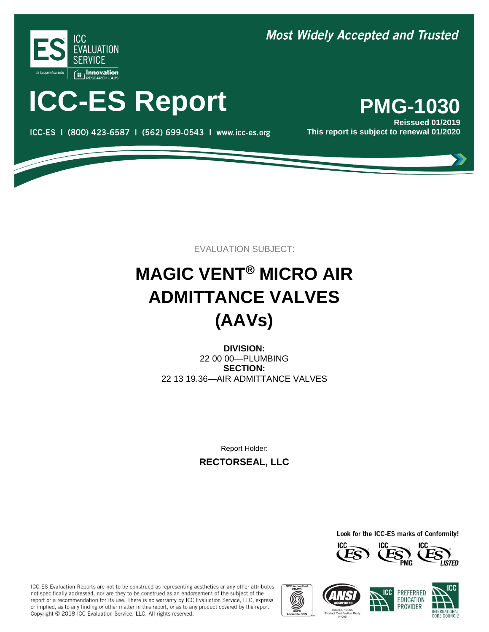

# **ICC-ES Report PMG-1030**

ICC-ES | (800) 423-6587 | (562) 699-0543 | www.icc-es.org

### **Most Widely Accepted and Trusted**

**Reissued 01/2019 This report is subject to renewal 01/2020**

EVALUATION SUBJECT:

## **MAGIC VENT® MICRO AIR ADMITTANCE VALVES (AAVs)**

**DIVISION:** 22 00 00—PLUMBING **SECTION:** 22 13 19.36—AIR ADMITTANCE VALVES

Report Holder:

**RECTORSEAL, LLC**

Look for the ICC-ES marks of Conformity!



ICC-ES Evaluation Reports are not to be construed as representing aesthetics or any other attributes not specifically addressed, nor are they to be construed as an endorsement of the subject of the report or a recommendation for its use. There is no warranty by ICC Evaluation Service, LLC, express or implied, as to any finding or other matter in this report, or as to any product covered by the report. Copyright @ 2018 ICC Evaluation Service, LLC. All rights reserved.









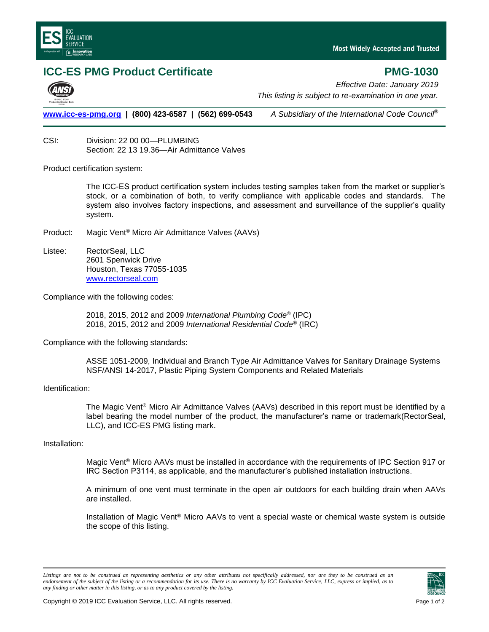

#### **ICC-ES PMG Product Certificate** *PMG-1030*

*Effective Date: January 2019 This listing is subject to re-examination in one year.*

**[www.icc-es-pmg.org](http://www.icc-es-pmg.org/) | (800) 423-6587 | (562) 699-0543** *A Subsidiary of the International Code Council*®

CSI: Division: 22 00 00—PLUMBING Section: 22 13 19.36—Air Admittance Valves

Product certification system:

The ICC-ES product certification system includes testing samples taken from the market or supplier's stock, or a combination of both, to verify compliance with applicable codes and standards. The system also involves factory inspections, and assessment and surveillance of the supplier's quality system.

- Product: Magic Vent® Micro Air Admittance Valves (AAVs)
- Listee: RectorSeal, LLC 2601 Spenwick Drive Houston, Texas 77055-1035 www.rectorseal.com

Compliance with the following codes:

2018, 2015, 2012 and 2009 *International Plumbing Code*® (IPC) 2018, 2015, 2012 and 2009 *International Residential Code*® (IRC)

Compliance with the following standards:

ASSE 1051-2009, Individual and Branch Type Air Admittance Valves for Sanitary Drainage Systems NSF/ANSI 14-2017, Plastic Piping System Components and Related Materials

#### Identification:

The Magic Vent® Micro Air Admittance Valves (AAVs) described in this report must be identified by a label bearing the model number of the product, the manufacturer's name or trademark(RectorSeal, LLC), and ICC-ES PMG listing mark.

#### Installation:

Magic Vent<sup>®</sup> Micro AAVs must be installed in accordance with the requirements of IPC Section 917 or IRC Section P3114, as applicable, and the manufacturer's published installation instructions.

A minimum of one vent must terminate in the open air outdoors for each building drain when AAVs are installed.

Installation of Magic Vent® Micro AAVs to vent a special waste or chemical waste system is outside the scope of this listing.

Listings are not to be construed as representing aesthetics or any other attributes not specifically addressed, nor are they to be construed as an *endorsement of the subject of the listing or a recommendation for its use. There is no warranty by ICC Evaluation Service, LLC, express or implied, as to any finding or other matter in this listing, or as to any product covered by the listing.*